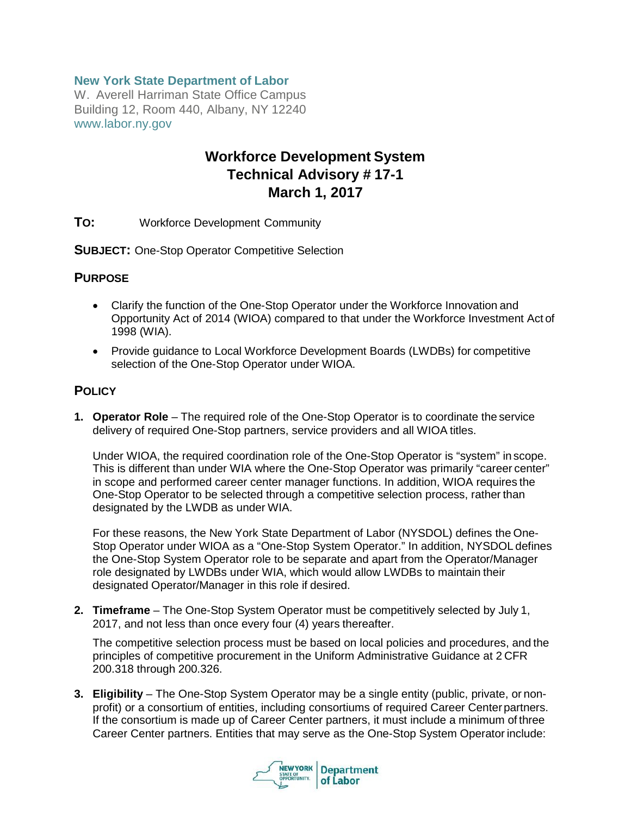## **New York State Department of Labor**

W. Averell Harriman State Office Campus Building 12, Room 440, Albany, NY 12240 [www.labor.ny.gov](http://www.labor.ny.gov/)

# **Workforce Development System Technical Advisory # 17-1 March 1, 2017**

**TO:** Workforce Development Community

**SUBJECT:** One-Stop Operator Competitive Selection

#### **PURPOSE**

- Clarify the function of the One-Stop Operator under the Workforce Innovation and Opportunity Act of 2014 (WIOA) compared to that under the Workforce Investment Act of 1998 (WIA).
- Provide guidance to Local Workforce Development Boards (LWDBs) for competitive selection of the One-Stop Operator under WIOA.

#### **POLICY**

**1. Operator Role** – The required role of the One-Stop Operator is to coordinate the service delivery of required One-Stop partners, service providers and all WIOA titles.

Under WIOA, the required coordination role of the One-Stop Operator is "system" in scope. This is different than under WIA where the One-Stop Operator was primarily "career center" in scope and performed career center manager functions. In addition, WIOA requires the One-Stop Operator to be selected through a competitive selection process, rather than designated by the LWDB as under WIA.

For these reasons, the New York State Department of Labor (NYSDOL) defines the One-Stop Operator under WIOA as a "One-Stop System Operator." In addition, NYSDOL defines the One-Stop System Operator role to be separate and apart from the Operator/Manager role designated by LWDBs under WIA, which would allow LWDBs to maintain their designated Operator/Manager in this role if desired.

**2. Timeframe** – The One-Stop System Operator must be competitively selected by July 1, 2017, and not less than once every four (4) years thereafter.

The competitive selection process must be based on local policies and procedures, and the principles of competitive procurement in the Uniform Administrative Guidance at 2 CFR 200.318 through 200.326.

**3. Eligibility** – The One-Stop System Operator may be a single entity (public, private, or nonprofit) or a consortium of entities, including consortiums of required Career Centerpartners. If the consortium is made up of Career Center partners, it must include a minimum of three Career Center partners. Entities that may serve as the One-Stop System Operator include:

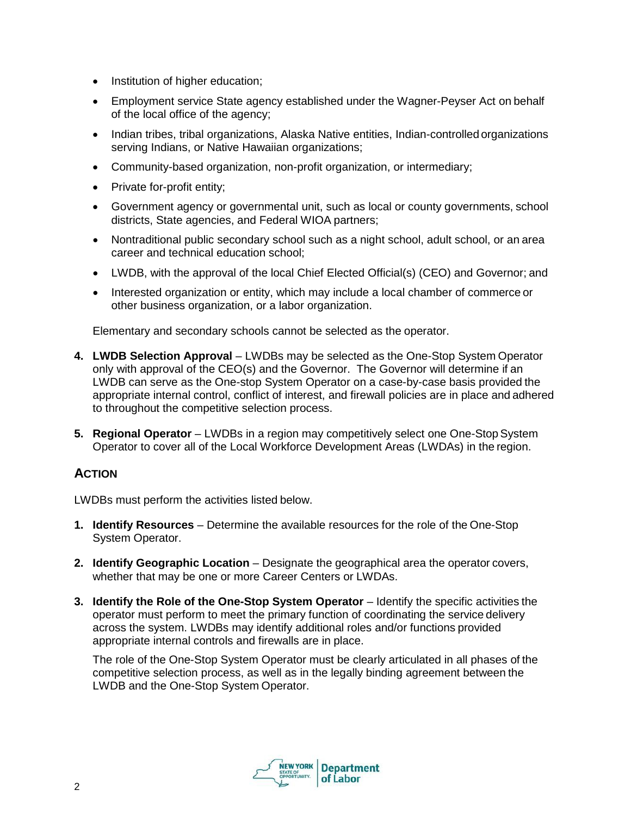- Institution of higher education;
- Employment service State agency established under the Wagner-Peyser Act on behalf of the local office of the agency;
- Indian tribes, tribal organizations, Alaska Native entities, Indian-controlled organizations serving Indians, or Native Hawaiian organizations;
- Community-based organization, non-profit organization, or intermediary;
- Private for-profit entity;
- Government agency or governmental unit, such as local or county governments, school districts, State agencies, and Federal WIOA partners;
- Nontraditional public secondary school such as a night school, adult school, or an area career and technical education school;
- LWDB, with the approval of the local Chief Elected Official(s) (CEO) and Governor; and
- Interested organization or entity, which may include a local chamber of commerce or other business organization, or a labor organization.

Elementary and secondary schools cannot be selected as the operator.

- **4. LWDB Selection Approval**  LWDBs may be selected as the One-Stop System Operator only with approval of the CEO(s) and the Governor. The Governor will determine if an LWDB can serve as the One-stop System Operator on a case-by-case basis provided the appropriate internal control, conflict of interest, and firewall policies are in place and adhered to throughout the competitive selection process.
- **5. Regional Operator**  LWDBs in a region may competitively select one One-StopSystem Operator to cover all of the Local Workforce Development Areas (LWDAs) in the region.

#### **ACTION**

LWDBs must perform the activities listed below.

- **1. Identify Resources**  Determine the available resources for the role of the One-Stop System Operator.
- 2. **Identify Geographic Location** Designate the geographical area the operator covers, whether that may be one or more Career Centers or LWDAs.
- **3. Identify the Role of the One-Stop System Operator** Identify the specific activities the operator must perform to meet the primary function of coordinating the service delivery across the system. LWDBs may identify additional roles and/or functions provided appropriate internal controls and firewalls are in place.

The role of the One-Stop System Operator must be clearly articulated in all phases of the competitive selection process, as well as in the legally binding agreement between the LWDB and the One-Stop System Operator.

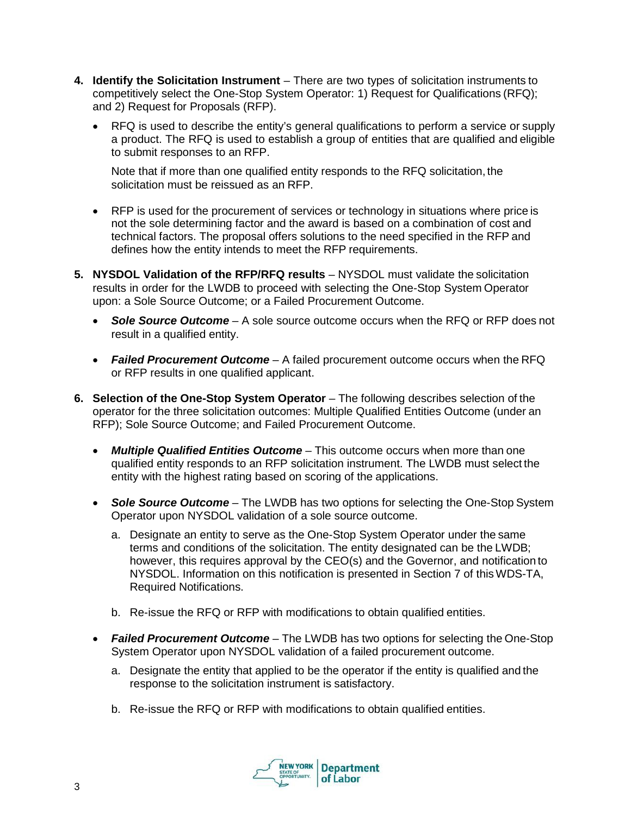- **4. Identify the Solicitation Instrument**  There are two types of solicitation instruments to competitively select the One-Stop System Operator: 1) Request for Qualifications (RFQ); and 2) Request for Proposals (RFP).
	- RFQ is used to describe the entity's general qualifications to perform a service or supply a product. The RFQ is used to establish a group of entities that are qualified and eligible to submit responses to an RFP.

Note that if more than one qualified entity responds to the RFQ solicitation, the solicitation must be reissued as an RFP.

- RFP is used for the procurement of services or technology in situations where price is not the sole determining factor and the award is based on a combination of cost and technical factors. The proposal offers solutions to the need specified in the RFP and defines how the entity intends to meet the RFP requirements.
- **5. NYSDOL Validation of the RFP/RFQ results**  NYSDOL must validate the solicitation results in order for the LWDB to proceed with selecting the One-Stop System Operator upon: a Sole Source Outcome; or a Failed Procurement Outcome.
	- *Sole Source Outcome*  A sole source outcome occurs when the RFQ or RFP does not result in a qualified entity.
	- *Failed Procurement Outcome*  A failed procurement outcome occurs when the RFQ or RFP results in one qualified applicant.
- **6.** Selection of the One-Stop System Operator The following describes selection of the operator for the three solicitation outcomes: Multiple Qualified Entities Outcome (under an RFP); Sole Source Outcome; and Failed Procurement Outcome.
	- *Multiple Qualified Entities Outcome*  This outcome occurs when more than one qualified entity responds to an RFP solicitation instrument. The LWDB must select the entity with the highest rating based on scoring of the applications.
	- **Sole Source Outcome** The LWDB has two options for selecting the One-Stop System Operator upon NYSDOL validation of a sole source outcome.
		- a. Designate an entity to serve as the One-Stop System Operator under the same terms and conditions of the solicitation. The entity designated can be the LWDB; however, this requires approval by the CEO(s) and the Governor, and notification to NYSDOL. Information on this notification is presented in Section 7 of thisWDS-TA, Required Notifications.
		- b. Re-issue the RFQ or RFP with modifications to obtain qualified entities.
	- *Failed Procurement Outcome*  The LWDB has two options for selecting the One-Stop System Operator upon NYSDOL validation of a failed procurement outcome.
		- a. Designate the entity that applied to be the operator if the entity is qualified and the response to the solicitation instrument is satisfactory.
		- b. Re-issue the RFQ or RFP with modifications to obtain qualified entities.